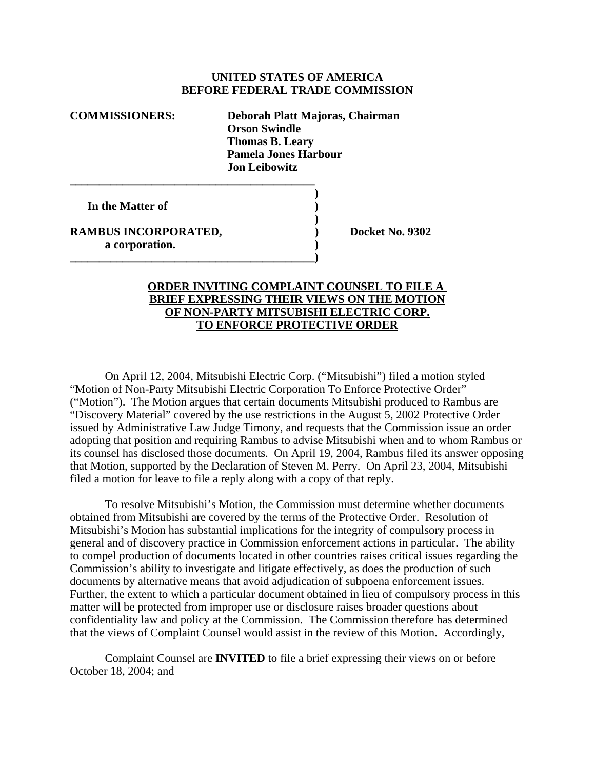## **UNITED STATES OF AMERICA BEFORE FEDERAL TRADE COMMISSION**

**COMMISSIONERS: Deborah Platt Majoras, Chairman Orson Swindle Thomas B. Leary Pamela Jones Harbour Jon Leibowitz \_\_\_\_\_\_\_\_\_\_\_\_\_\_\_\_\_\_\_\_\_\_\_\_\_\_\_\_\_\_\_\_\_\_\_\_\_\_\_\_\_\_**

**In the Matter of )**

**RAMBUS INCORPORATED, Sand Control Control Control Docket No. 9302 a corporation. )**

**\_\_\_\_\_\_\_\_\_\_\_\_\_\_\_\_\_\_\_\_\_\_\_\_\_\_\_\_\_\_\_\_\_\_\_\_\_\_\_\_\_\_)**

## **ORDER INVITING COMPLAINT COUNSEL TO FILE A BRIEF EXPRESSING THEIR VIEWS ON THE MOTION OF NON-PARTY MITSUBISHI ELECTRIC CORP. TO ENFORCE PROTECTIVE ORDER**

**)**

**)**

On April 12, 2004, Mitsubishi Electric Corp. ("Mitsubishi") filed a motion styled "Motion of Non-Party Mitsubishi Electric Corporation To Enforce Protective Order" ("Motion"). The Motion argues that certain documents Mitsubishi produced to Rambus are "Discovery Material" covered by the use restrictions in the August 5, 2002 Protective Order issued by Administrative Law Judge Timony, and requests that the Commission issue an order adopting that position and requiring Rambus to advise Mitsubishi when and to whom Rambus or its counsel has disclosed those documents. On April 19, 2004, Rambus filed its answer opposing that Motion, supported by the Declaration of Steven M. Perry. On April 23, 2004, Mitsubishi filed a motion for leave to file a reply along with a copy of that reply.

To resolve Mitsubishi's Motion, the Commission must determine whether documents obtained from Mitsubishi are covered by the terms of the Protective Order. Resolution of Mitsubishi's Motion has substantial implications for the integrity of compulsory process in general and of discovery practice in Commission enforcement actions in particular. The ability to compel production of documents located in other countries raises critical issues regarding the Commission's ability to investigate and litigate effectively, as does the production of such documents by alternative means that avoid adjudication of subpoena enforcement issues. Further, the extent to which a particular document obtained in lieu of compulsory process in this matter will be protected from improper use or disclosure raises broader questions about confidentiality law and policy at the Commission. The Commission therefore has determined that the views of Complaint Counsel would assist in the review of this Motion. Accordingly,

Complaint Counsel are **INVITED** to file a brief expressing their views on or before October 18, 2004; and